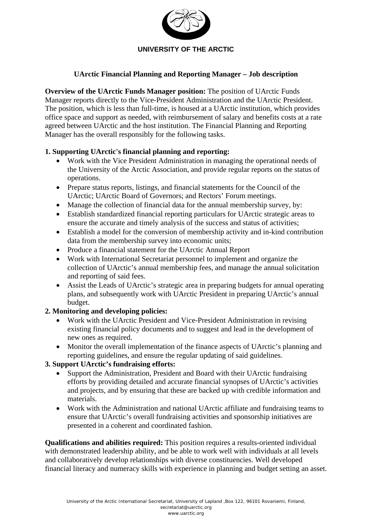

## **UArctic Financial Planning and Reporting Manager – Job description**

**Overview of the UArctic Funds Manager position:** The position of UArctic Funds Manager reports directly to the Vice-President Administration and the UArctic President. The position, which is less than full-time, is housed at a UArctic institution, which provides office space and support as needed, with reimbursement of salary and benefits costs at a rate agreed between UArctic and the host institution. The Financial Planning and Reporting Manager has the overall responsibly for the following tasks.

## **1. Supporting UArctic's financial planning and reporting:**

- Work with the Vice President Administration in managing the operational needs of the University of the Arctic Association, and provide regular reports on the status of operations.
- Prepare status reports, listings, and financial statements for the Council of the UArctic; UArctic Board of Governors; and Rectors' Forum meetings.
- Manage the collection of financial data for the annual membership survey, by:
- Establish standardized financial reporting particulars for UArctic strategic areas to ensure the accurate and timely analysis of the success and status of activities;
- Establish a model for the conversion of membership activity and in-kind contribution data from the membership survey into economic units;
- Produce a financial statement for the UArctic Annual Report
- Work with International Secretariat personnel to implement and organize the collection of UArctic's annual membership fees, and manage the annual solicitation and reporting of said fees.
- Assist the Leads of UArctic's strategic area in preparing budgets for annual operating plans, and subsequently work with UArctic President in preparing UArctic's annual budget.

## **2. Monitoring and developing policies:**

- Work with the UArctic President and Vice-President Administration in revising existing financial policy documents and to suggest and lead in the development of new ones as required.
- Monitor the overall implementation of the finance aspects of UArctic's planning and reporting guidelines, and ensure the regular updating of said guidelines.

## **3. Support UArctic's fundraising efforts:**

- Support the Administration, President and Board with their UArctic fundraising efforts by providing detailed and accurate financial synopses of UArctic's activities and projects, and by ensuring that these are backed up with credible information and materials.
- Work with the Administration and national UArctic affiliate and fundraising teams to ensure that UArctic's overall fundraising activities and sponsorship initiatives are presented in a coherent and coordinated fashion.

**Qualifications and abilities required:** This position requires a results-oriented individual with demonstrated leadership ability, and be able to work well with individuals at all levels and collaboratively develop relationships with diverse constituencies. Well developed financial literacy and numeracy skills with experience in planning and budget setting an asset.